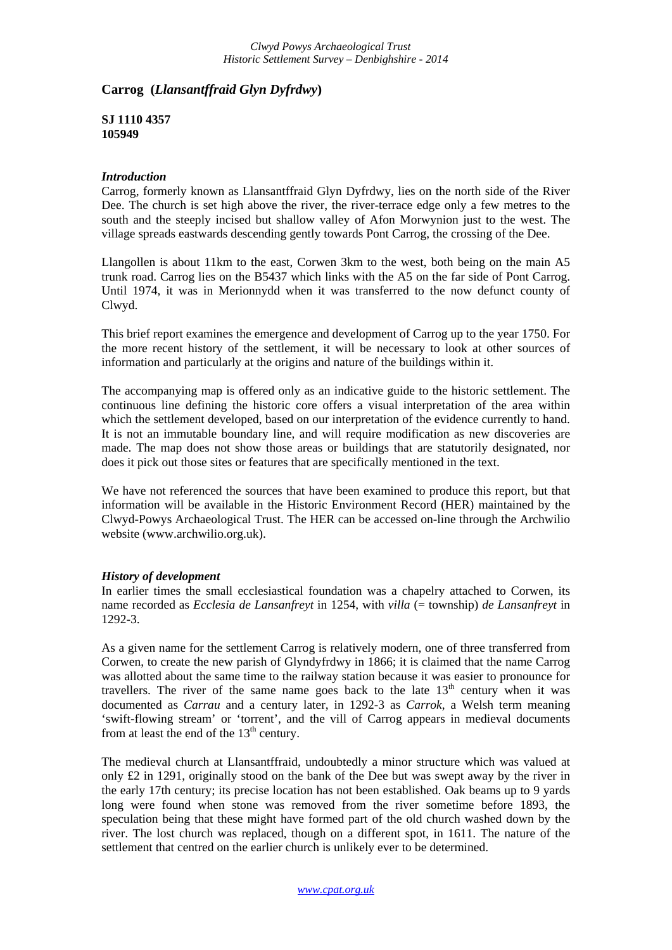## **Carrog (***Llansantffraid Glyn Dyfrdwy***)**

**SJ 1110 4357 105949** 

## *Introduction*

Carrog, formerly known as Llansantffraid Glyn Dyfrdwy, lies on the north side of the River Dee. The church is set high above the river, the river-terrace edge only a few metres to the south and the steeply incised but shallow valley of Afon Morwynion just to the west. The village spreads eastwards descending gently towards Pont Carrog, the crossing of the Dee.

Llangollen is about 11km to the east, Corwen 3km to the west, both being on the main A5 trunk road. Carrog lies on the B5437 which links with the A5 on the far side of Pont Carrog. Until 1974, it was in Merionnydd when it was transferred to the now defunct county of Clwyd.

This brief report examines the emergence and development of Carrog up to the year 1750. For the more recent history of the settlement, it will be necessary to look at other sources of information and particularly at the origins and nature of the buildings within it.

The accompanying map is offered only as an indicative guide to the historic settlement. The continuous line defining the historic core offers a visual interpretation of the area within which the settlement developed, based on our interpretation of the evidence currently to hand. It is not an immutable boundary line, and will require modification as new discoveries are made. The map does not show those areas or buildings that are statutorily designated, nor does it pick out those sites or features that are specifically mentioned in the text.

We have not referenced the sources that have been examined to produce this report, but that information will be available in the Historic Environment Record (HER) maintained by the Clwyd-Powys Archaeological Trust. The HER can be accessed on-line through the Archwilio website (www.archwilio.org.uk).

## *History of development*

In earlier times the small ecclesiastical foundation was a chapelry attached to Corwen, its name recorded as *Ecclesia de Lansanfreyt* in 1254, with *villa* (= township) *de Lansanfreyt* in 1292-3.

As a given name for the settlement Carrog is relatively modern, one of three transferred from Corwen, to create the new parish of Glyndyfrdwy in 1866; it is claimed that the name Carrog was allotted about the same time to the railway station because it was easier to pronounce for travellers. The river of the same name goes back to the late  $13<sup>th</sup>$  century when it was documented as *Carrau* and a century later, in 1292-3 as *Carrok*, a Welsh term meaning 'swift-flowing stream' or 'torrent', and the vill of Carrog appears in medieval documents from at least the end of the  $13<sup>th</sup>$  century.

The medieval church at Llansantffraid, undoubtedly a minor structure which was valued at only  $\pounds 2$  in 1291, originally stood on the bank of the Dee but was swept away by the river in the early 17th century; its precise location has not been established. Oak beams up to 9 yards long were found when stone was removed from the river sometime before 1893, the speculation being that these might have formed part of the old church washed down by the river. The lost church was replaced, though on a different spot, in 1611. The nature of the settlement that centred on the earlier church is unlikely ever to be determined.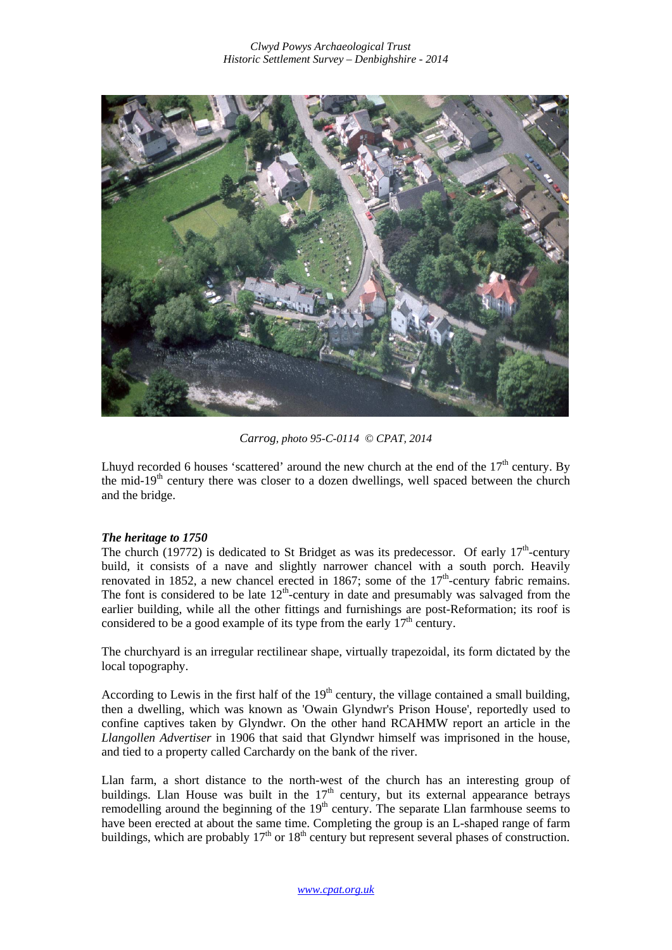

*Carrog, photo 95-C-0114 © CPAT, 2014*

Lhuyd recorded 6 houses 'scattered' around the new church at the end of the  $17<sup>th</sup>$  century. By the mid- $19<sup>th</sup>$  century there was closer to a dozen dwellings, well spaced between the church and the bridge.

## *The heritage to 1750*

The church (19772) is dedicated to St Bridget as was its predecessor. Of early  $17<sup>th</sup>$ -century build, it consists of a nave and slightly narrower chancel with a south porch. Heavily renovated in 1852, a new chancel erected in 1867; some of the  $17<sup>th</sup>$ -century fabric remains. The font is considered to be late  $12<sup>th</sup>$ -century in date and presumably was salvaged from the earlier building, while all the other fittings and furnishings are post-Reformation; its roof is considered to be a good example of its type from the early  $17<sup>th</sup>$  century.

The churchyard is an irregular rectilinear shape, virtually trapezoidal, its form dictated by the local topography.

According to Lewis in the first half of the  $19<sup>th</sup>$  century, the village contained a small building, then a dwelling, which was known as 'Owain Glyndwr's Prison House', reportedly used to confine captives taken by Glyndwr. On the other hand RCAHMW report an article in the *Llangollen Advertiser* in 1906 that said that Glyndwr himself was imprisoned in the house, and tied to a property called Carchardy on the bank of the river.

Llan farm, a short distance to the north-west of the church has an interesting group of buildings. Llan House was built in the  $17<sup>th</sup>$  century, but its external appearance betrays remodelling around the beginning of the  $19<sup>th</sup>$  century. The separate Llan farmhouse seems to have been erected at about the same time. Completing the group is an L-shaped range of farm buildings, which are probably  $17<sup>th</sup>$  or  $18<sup>th</sup>$  century but represent several phases of construction.